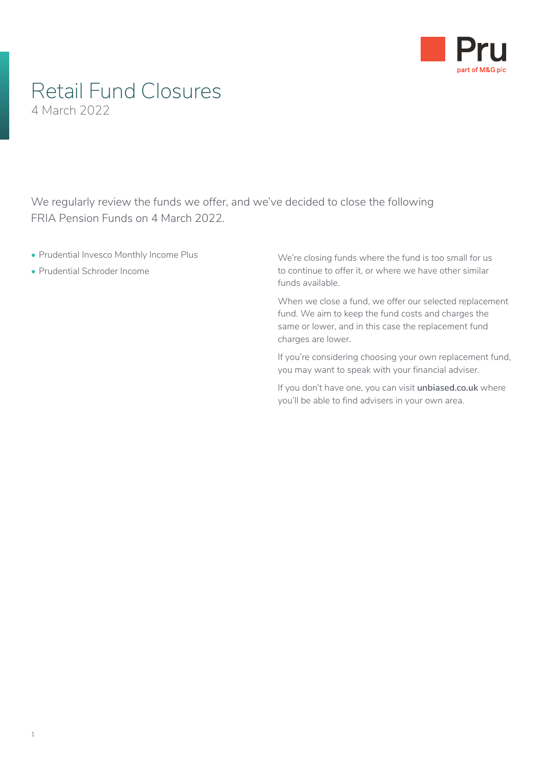

## Retail Fund Closures 4 March 2022

We regularly review the funds we offer, and we've decided to close the following FRIA Pension Funds on 4 March 2022.

- Prudential Invesco Monthly Income Plus
- Prudential Schroder Income

We're closing funds where the fund is too small for us to continue to offer it, or where we have other similar funds available.

When we close a fund, we offer our selected replacement fund. We aim to keep the fund costs and charges the same or lower, and in this case the replacement fund charges are lower.

If you're considering choosing your own replacement fund, you may want to speak with your financial adviser.

If you don't have one, you can visit **[unbiased.co.uk](http://www.unbiased.co.uk)** where you'll be able to find advisers in your own area.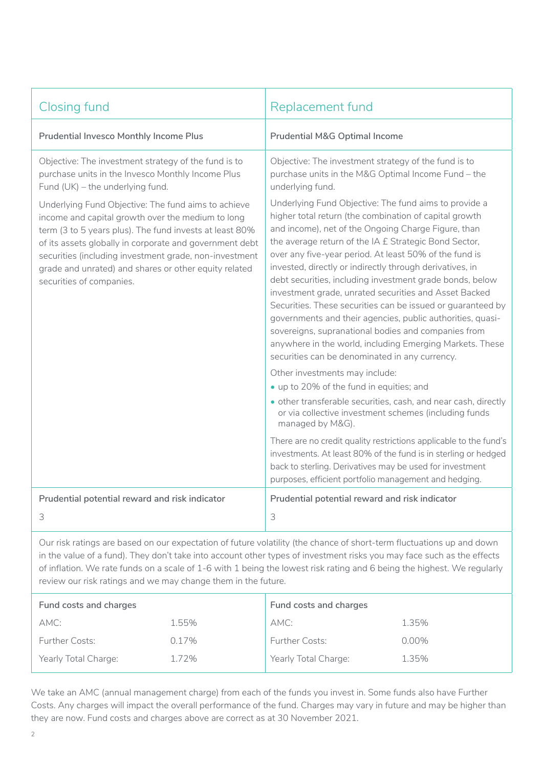| <b>Closing fund</b>                                                                                                                                                                                                                                                                                                                                                           | Replacement fund                                                                                                                                                                                                                                                                                                                                                                                                                                                                                                                                                                                                                                                                                                                                                             |  |
|-------------------------------------------------------------------------------------------------------------------------------------------------------------------------------------------------------------------------------------------------------------------------------------------------------------------------------------------------------------------------------|------------------------------------------------------------------------------------------------------------------------------------------------------------------------------------------------------------------------------------------------------------------------------------------------------------------------------------------------------------------------------------------------------------------------------------------------------------------------------------------------------------------------------------------------------------------------------------------------------------------------------------------------------------------------------------------------------------------------------------------------------------------------------|--|
| <b>Prudential Invesco Monthly Income Plus</b>                                                                                                                                                                                                                                                                                                                                 | <b>Prudential M&amp;G Optimal Income</b>                                                                                                                                                                                                                                                                                                                                                                                                                                                                                                                                                                                                                                                                                                                                     |  |
| Objective: The investment strategy of the fund is to<br>purchase units in the Invesco Monthly Income Plus<br>Fund (UK) – the underlying fund.                                                                                                                                                                                                                                 | Objective: The investment strategy of the fund is to<br>purchase units in the M&G Optimal Income Fund - the<br>underlying fund.                                                                                                                                                                                                                                                                                                                                                                                                                                                                                                                                                                                                                                              |  |
| Underlying Fund Objective: The fund aims to achieve<br>income and capital growth over the medium to long<br>term (3 to 5 years plus). The fund invests at least 80%<br>of its assets globally in corporate and government debt<br>securities (including investment grade, non-investment<br>grade and unrated) and shares or other equity related<br>securities of companies. | Underlying Fund Objective: The fund aims to provide a<br>higher total return (the combination of capital growth<br>and income), net of the Ongoing Charge Figure, than<br>the average return of the IA £ Strategic Bond Sector,<br>over any five-year period. At least 50% of the fund is<br>invested, directly or indirectly through derivatives, in<br>debt securities, including investment grade bonds, below<br>investment grade, unrated securities and Asset Backed<br>Securities. These securities can be issued or guaranteed by<br>governments and their agencies, public authorities, quasi-<br>sovereigns, supranational bodies and companies from<br>anywhere in the world, including Emerging Markets. These<br>securities can be denominated in any currency. |  |
|                                                                                                                                                                                                                                                                                                                                                                               | Other investments may include:<br>• up to 20% of the fund in equities; and<br>· other transferable securities, cash, and near cash, directly<br>or via collective investment schemes (including funds<br>managed by M&G).                                                                                                                                                                                                                                                                                                                                                                                                                                                                                                                                                    |  |
|                                                                                                                                                                                                                                                                                                                                                                               | There are no credit quality restrictions applicable to the fund's<br>investments. At least 80% of the fund is in sterling or hedged<br>back to sterling. Derivatives may be used for investment<br>purposes, efficient portfolio management and hedging.                                                                                                                                                                                                                                                                                                                                                                                                                                                                                                                     |  |
| Prudential potential reward and risk indicator<br>3                                                                                                                                                                                                                                                                                                                           | Prudential potential reward and risk indicator<br>3                                                                                                                                                                                                                                                                                                                                                                                                                                                                                                                                                                                                                                                                                                                          |  |
|                                                                                                                                                                                                                                                                                                                                                                               |                                                                                                                                                                                                                                                                                                                                                                                                                                                                                                                                                                                                                                                                                                                                                                              |  |

Our risk ratings are based on our expectation of future volatility (the chance of short-term fluctuations up and down in the value of a fund). They don't take into account other types of investment risks you may face such as the effects of inflation. We rate funds on a scale of 1-6 with 1 being the lowest risk rating and 6 being the highest. We regularly review our risk ratings and we may change them in the future.

| Fund costs and charges |       | Fund costs and charges |          |
|------------------------|-------|------------------------|----------|
| AMC:                   | 1.55% | AMC:                   | 1.35%    |
| <b>Further Costs:</b>  | 0.17% | <b>Further Costs:</b>  | $0.00\%$ |
| Yearly Total Charge:   | 1.72% | Yearly Total Charge:   | 1.35%    |

We take an AMC (annual management charge) from each of the funds you invest in. Some funds also have Further Costs. Any charges will impact the overall performance of the fund. Charges may vary in future and may be higher than they are now. Fund costs and charges above are correct as at 30 November 2021.